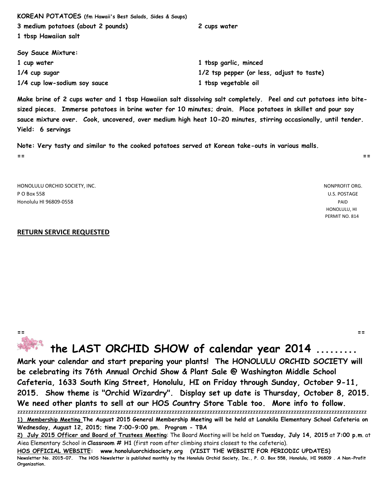| KOREAN POTATOES (fm Hawaii's Best Salads, Sides & Soups) |                                           |
|----------------------------------------------------------|-------------------------------------------|
| 3 medium potatoes (about 2 pounds)                       | 2 cups water                              |
| 1 tbsp Hawaiian salt                                     |                                           |
| Soy Sauce Mixture:                                       |                                           |
| 1 cup water                                              | 1 tbsp garlic, minced                     |
| 1/4 cup sugar                                            | 1/2 tsp pepper (or less, adjust to taste) |
| 1/4 cup low-sodium soy sauce                             | 1 tbsp vegetable oil                      |

**Make brine of 2 cups water and 1 tbsp Hawaiian salt dissolving salt completely. Peel and cut potatoes into bitesized pieces. Immerse potatoes in brine water for 10 minutes; drain. Place potatoes in skillet and pour soy sauce mixture over. Cook, uncovered, over medium high heat 10-20 minutes, stirring occasionally, until tender. Yield: 6 servings**

**Note: Very tasty and similar to the cooked potatoes served at Korean take-outs in various malls. == ==**

HONOLULU ORCHID SOCIETY, INC. NONPROFIT ORG. P O Box 558 U.S. POSTAGE Honolulu HI 96809-0558 PAID

 HONOLULU, HI PERMIT NO. 814

#### **RETURN SERVICE REQUESTED**

**== ==**

# **the LAST ORCHID SHOW of calendar year 2014 .........**

**Mark your calendar and start preparing your plants! The HONOLULU ORCHID SOCIETY will be celebrating its 76th Annual Orchid Show & Plant Sale @ Washington Middle School Cafeteria, 1633 South King Street, Honolulu, HI on Friday through Sunday, October 9-11, 2015. Show theme is "Orchid Wizardry". Display set up date is Thursday, October 8, 2015. We need other plants to sell at our HOS Country Store Table too. More info to follow.** zzzzzzzzzzzzzzzzzzzzzzzzzzzzzzzzzzzzzzzzzzzzzzzzzzzzzzzzzzzzzzzzzzzzzzzzzzzzzzzzzzzzzzzzzzzzzzzzzzzzzzzzzzzzzzzzzzzzzzzzzzzzzzzzz

**HOS OFFICIAL WEBSITE: www.honoluluorchidsociety.org (VISIT THE WEBSITE FOR PERIODIC UPDATES) Newsletter No. 2015-07. The HOS Newsletter is published monthly by the Honolulu Orchid Society, Inc., P. O. Box 558, Honolulu, HI 96809 . A Non-Profit Organization.**

**<sup>1)</sup> Membership Meeting The August 2015 General Membership Meeting will be held at Lanakila Elementary School Cafeteria on Wednesday, August 12, 2015; time 7:00-9:00 pm. Program - TBA**

**<sup>2)</sup> July 2015 Officer and Board of Trustees Meeting**: The Board Meeting will be held on **Tuesday, July 14, 2015** at **7:00 p.m**. at Aiea Elementary School in **Classroom # H1** (first room after climbing stairs closest to the cafeteria).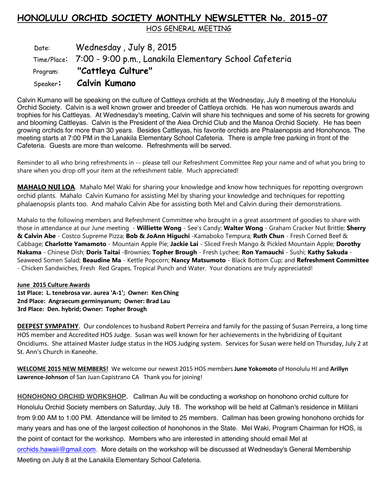# **HONOLULU ORCHID SOCIETY MONTHLY NEWSLETTER No. 2015-07**

HOS GENERAL MEETING

Date: Wednesday, July 8, 2015 Time/Place: 7:00 - 9:00 p.m., Lanakila Elementary School Cafeteria Program: **"Cattleya Culture"** Speaker**: Calvin Kumano** 

Calvin Kumano will be speaking on the culture of Cattleya orchids at the Wednesday, July 8 meeting of the Honolulu Orchid Society. Calvin is a well known grower and breeder of Cattleya orchids. He has won numerous awards and trophies for his Cattleyas. At Wednesday's meeting, Calvin will share his techniques and some of his secrets for growing and blooming Cattleyas. Calvin is the President of the Aiea Orchid Club and the Manoa Orchid Society. He has been growing orchids for more than 30 years. Besides Cattleyas, his favorite orchids are Phalaenopsis and Honohonos. The meeting starts at 7:00 PM in the Lanakila Elementary School Cafeteria. There is ample free parking in front of the Cafeteria. Guests are more than welcome. Refreshments will be served.

Reminder to all who bring refreshments in -- please tell our Refreshment Committee Rep your name and of what you bring to share when you drop off your item at the refreshment table. Much appreciated!

**MAHALO NUI LOA**. Mahalo Mel Waki for sharing your knowledge and know how techniques for repotting overgrown orchid plants. Mahalo Calvin Kumano for assisting Mel by sharing your knowledge and techniques for repotting phalaenopsis plants too. And mahalo Calvin Abe for assisting both Mel and Calvin during their demonstrations.

Mahalo to the following members and Refreshment Committee who brought in a great assortment of goodies to share with those in attendance at our June meeting - **Williette Wong** - See's Candy; **Walter Wong** - Graham Cracker Nut Brittle; **Sherry & Calvin Abe** - Costco Supreme Pizza; **Bob & JoAnn Higuchi** -Kamaboko Tempura; **Ruth Chun** - Fresh Corned Beef & Cabbage; **Charlotte Yamamoto** - Mountain Apple Pie; **Jackie Lai** - Sliced Fresh Mango & Pickled Mountain Apple; **Dorothy Nakama** - Chinese Dish; **Doris Taitai** -Brownies; **Topher Brough** - Fresh Lychee; **Ron Yamauchi** - Sushi; **Kathy Sakuda** - Seaweed Somen Salad; **Beaudine Ma** - Kettle Popcorn; **Nancy Matsumoto** - Black Bottom Cup; and **Refreshment Committee** - Chicken Sandwiches, Fresh Red Grapes, Tropical Punch and Water. Your donations are truly appreciated!

#### **June 2015 Culture Awards**

**1st Place: L. tenebrosa var. aurea 'A-1'; Owner: Ken Ching 2nd Place: Angraecum germinyanum; Owner: Brad Lau 3rd Place: Den. hybrid; Owner: Topher Brough** 

**DEEPEST SYMPATHY**. Our condolences to husband Robert Perreira and family for the passing of Susan Perreira, a long time HOS member and Accredited HOS Judge. Susan was well known for her achievements in the hybridizing of Equitant Oncidiums. She attained Master Judge status in the HOS Judging system. Services for Susan were held on Thursday, July 2 at St. Ann's Church in Kaneohe.

**WELCOME 2015 NEW MEMBERS!** We welcome our newest 2015 HOS members **June Yokomoto** of Honolulu HI and **Arillyn Lawrence-Johnson** of San Juan Capistrano CA Thank you for joining!

**HONOHONO ORCHID WORKSHOP.** Callman Au will be conducting a workshop on honohono orchid culture for Honolulu Orchid Society members on Saturday, July 18. The workshop will be held at Callman's residence in Mililani from 9:00 AM to 1:00 PM. Attendance will be limited to 25 members. Callman has been growing honohono orchids for many years and has one of the largest collection of honohonos in the State. Mel Waki, Program Chairman for HOS, is the point of contact for the workshop. Members who are interested in attending should email Mel at orchids.hawaii@gmail.com. More details on the workshop will be discussed at Wednesday's General Membership Meeting on July 8 at the Lanakila Elementary School Cafeteria.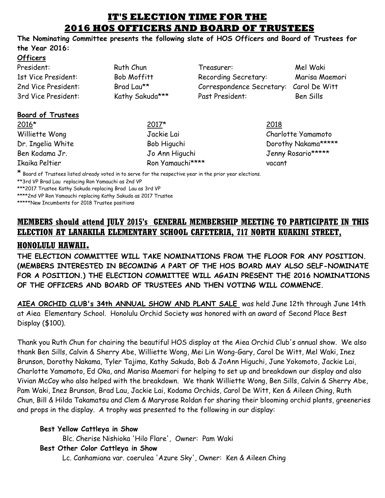## **IT'S ELECTION TIME FOR THE 2016 HOS OFFICERS AND BOARD OF TRUSTEES**

**The Nominating Committee presents the following slate of HOS Officers and Board of Trustees for the Year 2016:**

#### **Officers**

| President:          | Ruth Chun       | Treasurer:                | Mel Waki       |
|---------------------|-----------------|---------------------------|----------------|
| 1st Vice President: | Bob Moffitt     | Recording Secretary:      | Marisa Maemori |
| 2nd Vice President: | Brad Lau**      | Correspondence Secretary: | Carol De Witt  |
| 3rd Vice President: | Kathy Sakuda*** | Past President:           | Ben Sills      |
|                     |                 |                           |                |

#### **Board of Trustees**

 $2016*$  2017\* 2018

Williette Wong Jackie Lai Charlotte Yamamoto Ikaika Peltier Ron Yamauchi\*\*\*\* vacant

Dr. Ingelia White **Bob Higuchi** Bob Higuchi Dorothy Nakama\*\*\*\*\* Ben Kodama Jr. Jo Ann Higuchi Jenny Rosario\*\*\*\*\*\*

\* Board of Trustees listed already voted in to serve for the respective year in the prior year elections.

\*\*3rd VP Brad Lau replacing Ron Yamauchi as 2nd VP

\*\*\*2017 Trustee Kathy Sakuda replacing Brad Lau as 3rd VP

\*\*\*\*2nd VP Ron Yamauchi replacing Kathy Sakuda as 2017 Trustee

\*\*\*\*\*New Incumbents for 2018 Trustee positions

# **MEMBERS should attend JULY 2015's GENERAL MEMBERSHIP MEETING TO PARTICIPATE IN THIS ELECTION AT LANAKILA ELEMENTARY SCHOOL CAFETERIA, 717 NORTH KUAKINI STREET,**

## **HONOLULU HAWAII.**

**THE ELECTION COMMITTEE WILL TAKE NOMINATIONS FROM THE FLOOR FOR ANY POSITION. (MEMBERS INTERESTED IN BECOMING A PART OF THE HOS BOARD MAY ALSO SELF-NOMINATE FOR A POSITION.) THE ELECTION COMMITTEE WILL AGAIN PRESENT THE 2016 NOMINATIONS OF THE OFFICERS AND BOARD OF TRUSTEES AND THEN VOTING WILL COMMENCE.**

**AIEA ORCHID CLUB's 34th ANNUAL SHOW AND PLANT SALE** was held June 12th through June 14th at Aiea Elementary School. Honolulu Orchid Society was honored with an award of Second Place Best Display (\$100).

Thank you Ruth Chun for chairing the beautiful HOS display at the Aiea Orchid Club's annual show. We also thank Ben Sills, Calvin & Sherry Abe, Williette Wong, Mei Lin Wong-Gary, Carol De Witt, Mel Waki, Inez Brunson, Dorothy Nakama, Tyler Tajima, Kathy Sakuda, Bob & JoAnn Higuchi, June Yokomoto, Jackie Lai, Charlotte Yamamoto, Ed Oka, and Marisa Maemori for helping to set up and breakdown our display and also Vivian McCoy who also helped with the breakdown. We thank Williette Wong, Ben Sills, Calvin & Sherry Abe, Pam Waki, Inez Brunson, Brad Lau, Jackie Lai, Kodama Orchids, Carol De Witt, Ken & Aileen Ching, Ruth Chun, Bill & Hilda Takamatsu and Clem & Maryrose Roldan for sharing their blooming orchid plants, greeneries and props in the display. A trophy was presented to the following in our display:

### **Best Yellow Cattleya in Show**

Blc. Cherise Nishioka 'Hilo Flare', Owner: Pam Waki

### **Best Other Color Cattleya in Show**

Lc. Canhamiana var. coerulea 'Azure Sky', Owner: Ken & Aileen Ching